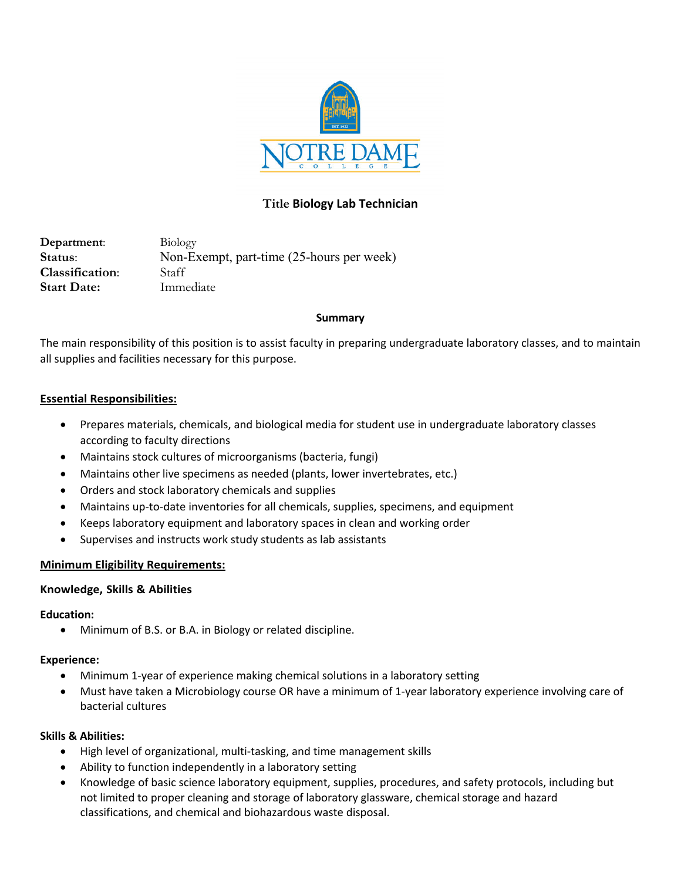

# **Title Biology Lab Technician**

**Department**: Biology **Status**: Non-Exempt, part-time (25-hours per week) **Classification**: Staff **Start Date:** Immediate

### **Summary**

The main responsibility of this position is to assist faculty in preparing undergraduate laboratory classes, and to maintain all supplies and facilities necessary for this purpose.

### **Essential Responsibilities:**

- Prepares materials, chemicals, and biological media for student use in undergraduate laboratory classes according to faculty directions
- Maintains stock cultures of microorganisms (bacteria, fungi)
- Maintains other live specimens as needed (plants, lower invertebrates, etc.)
- Orders and stock laboratory chemicals and supplies
- Maintains up-to-date inventories for all chemicals, supplies, specimens, and equipment
- Keeps laboratory equipment and laboratory spaces in clean and working order
- Supervises and instructs work study students as lab assistants

## **Minimum Eligibility Requirements:**

### **Knowledge, Skills & Abilities**

### **Education:**

• Minimum of B.S. or B.A. in Biology or related discipline.

### **Experience:**

- Minimum 1-year of experience making chemical solutions in a laboratory setting
- Must have taken a Microbiology course OR have a minimum of 1-year laboratory experience involving care of bacterial cultures

### **Skills & Abilities:**

- High level of organizational, multi-tasking, and time management skills
- Ability to function independently in a laboratory setting
- Knowledge of basic science laboratory equipment, supplies, procedures, and safety protocols, including but not limited to proper cleaning and storage of laboratory glassware, chemical storage and hazard classifications, and chemical and biohazardous waste disposal.